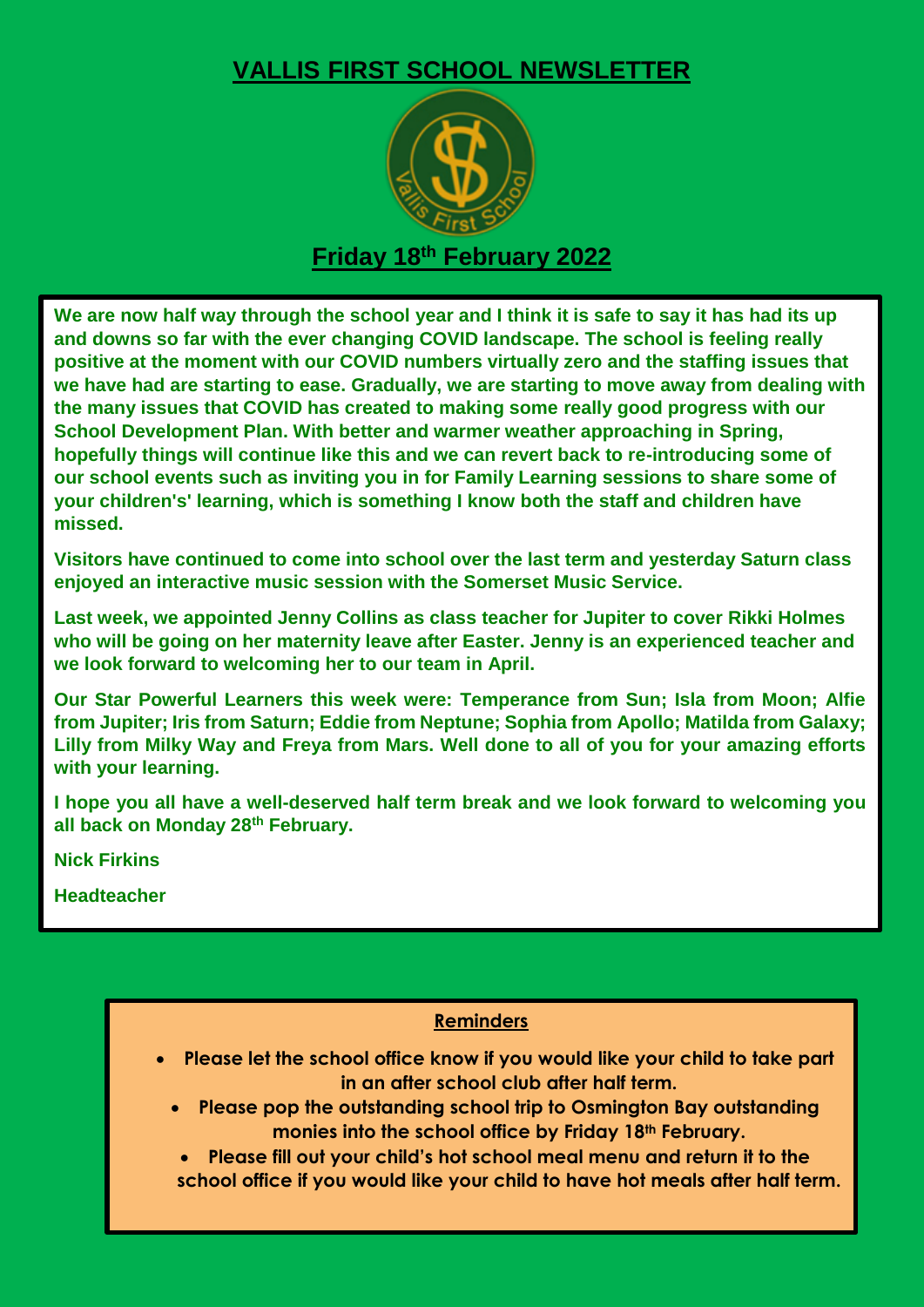## **VALLIS FIRST SCHOOL NEWSLETTER**



## **Friday 18th February 2022**

**We are now half way through the school year and I think it is safe to say it has had its up and downs so far with the ever changing COVID landscape. The school is feeling really positive at the moment with our COVID numbers virtually zero and the staffing issues that we have had are starting to ease. Gradually, we are starting to move away from dealing with the many issues that COVID has created to making some really good progress with our School Development Plan. With better and warmer weather approaching in Spring, hopefully things will continue like this and we can revert back to re-introducing some of our school events such as inviting you in for Family Learning sessions to share some of your children's' learning, which is something I know both the staff and children have missed.**

**Visitors have continued to come into school over the last term and yesterday Saturn class enjoyed an interactive music session with the Somerset Music Service.**

**Last week, we appointed Jenny Collins as class teacher for Jupiter to cover Rikki Holmes who will be going on her maternity leave after Easter. Jenny is an experienced teacher and we look forward to welcoming her to our team in April.**

**Our Star Powerful Learners this week were: Temperance from Sun; Isla from Moon; Alfie from Jupiter; Iris from Saturn; Eddie from Neptune; Sophia from Apollo; Matilda from Galaxy; Lilly from Milky Way and Freya from Mars. Well done to all of you for your amazing efforts with your learning.**

**I hope you all have a well-deserved half term break and we look forward to welcoming you all back on Monday 28th February.**

**Nick Firkins**

**Headteacher**

## **Reminders**

- **Please let the school office know if you would like your child to take part in an after school club after half term.**
	- **Please pop the outstanding school trip to Osmington Bay outstanding monies into the school office by Friday 18th February.**
	- **Please fill out your child's hot school meal menu and return it to the school office if you would like your child to have hot meals after half term.**